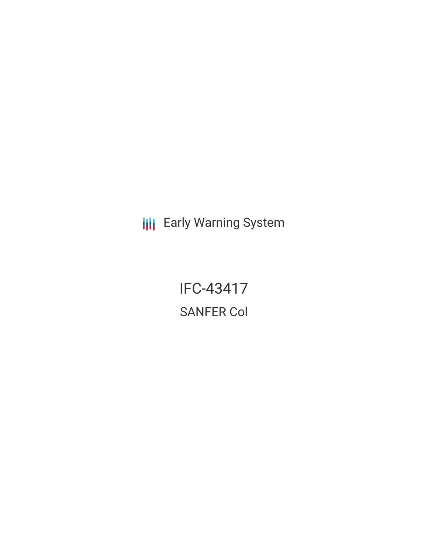**III** Early Warning System

IFC-43417 SANFER Col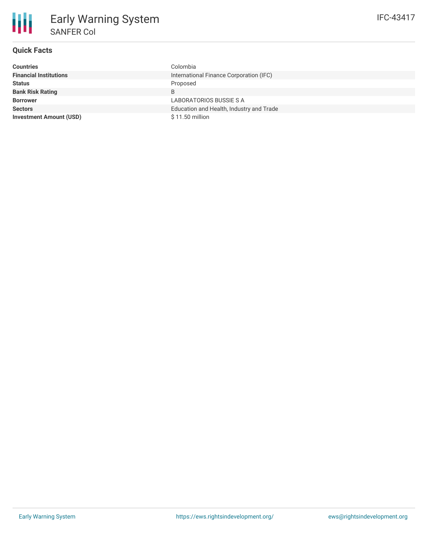| <b>Countries</b>               | Colombia                                 |  |
|--------------------------------|------------------------------------------|--|
| <b>Financial Institutions</b>  | International Finance Corporation (IFC)  |  |
| <b>Status</b>                  | Proposed                                 |  |
| <b>Bank Risk Rating</b>        | B                                        |  |
| <b>Borrower</b>                | LABORATORIOS BUSSIE S A                  |  |
| <b>Sectors</b>                 | Education and Health, Industry and Trade |  |
| <b>Investment Amount (USD)</b> | $$11.50$ million                         |  |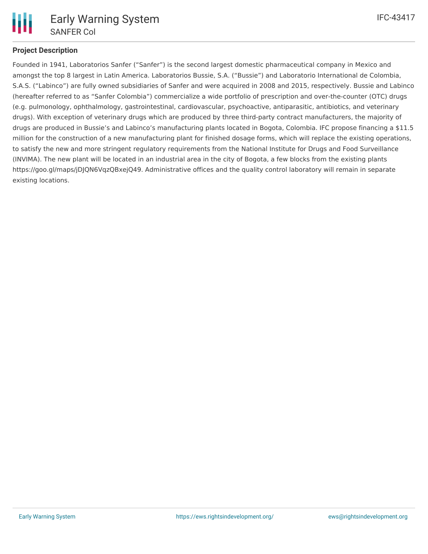

## **Project Description**

Founded in 1941, Laboratorios Sanfer ("Sanfer") is the second largest domestic pharmaceutical company in Mexico and amongst the top 8 largest in Latin America. Laboratorios Bussie, S.A. ("Bussie") and Laboratorio International de Colombia, S.A.S. ("Labinco") are fully owned subsidiaries of Sanfer and were acquired in 2008 and 2015, respectively. Bussie and Labinco (hereafter referred to as "Sanfer Colombia") commercialize a wide portfolio of prescription and over-the-counter (OTC) drugs (e.g. pulmonology, ophthalmology, gastrointestinal, cardiovascular, psychoactive, antiparasitic, antibiotics, and veterinary drugs). With exception of veterinary drugs which are produced by three third-party contract manufacturers, the majority of drugs are produced in Bussie's and Labinco's manufacturing plants located in Bogota, Colombia. IFC propose financing a \$11.5 million for the construction of a new manufacturing plant for finished dosage forms, which will replace the existing operations, to satisfy the new and more stringent regulatory requirements from the National Institute for Drugs and Food Surveillance (INVIMA). The new plant will be located in an industrial area in the city of Bogota, a few blocks from the existing plants https://goo.gl/maps/jDJQN6VqzQBxejQ49. Administrative offices and the quality control laboratory will remain in separate existing locations.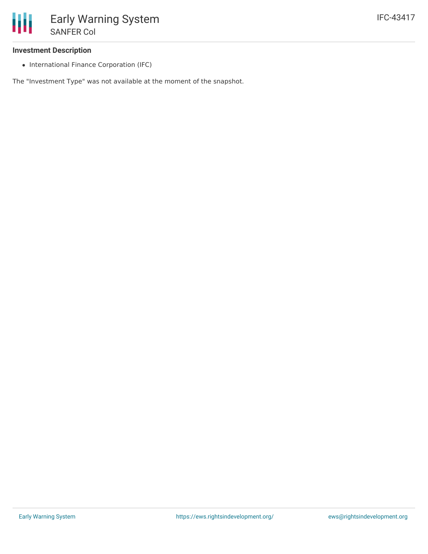## **Investment Description**

• International Finance Corporation (IFC)

The "Investment Type" was not available at the moment of the snapshot.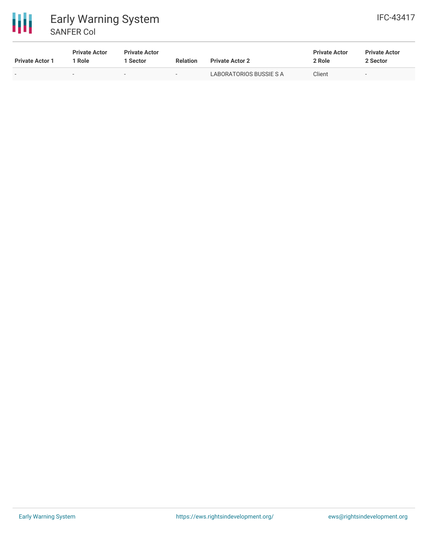

| <b>Private Actor 1</b> | <b>Private Actor</b><br>1 Role | <b>Private Actor</b><br>l Sector | <b>Relation</b>          | <b>Private Actor 2</b>  | <b>Private Actor</b><br>2 Role | <b>Private Actor</b><br>2 Sector |
|------------------------|--------------------------------|----------------------------------|--------------------------|-------------------------|--------------------------------|----------------------------------|
| $\sim$                 |                                | $\sim$                           | $\overline{\phantom{a}}$ | LABORATORIOS BUSSIE S A | Client                         | $\overline{\phantom{a}}$         |